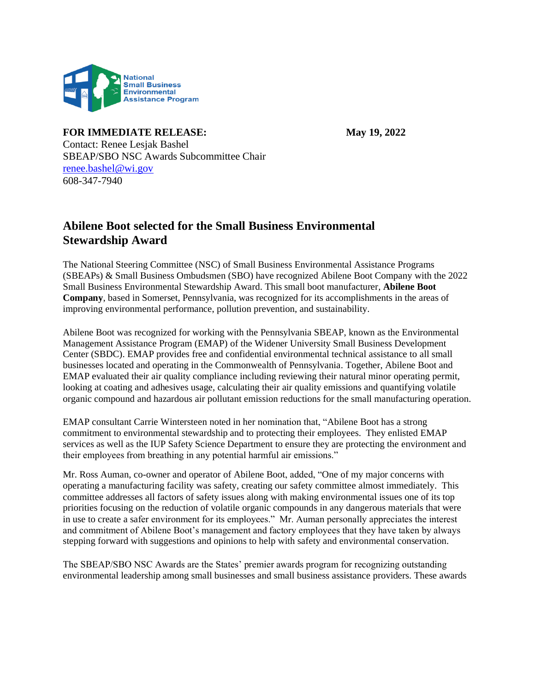

**FOR IMMEDIATE RELEASE: May 19, 2022**

Contact: Renee Lesjak Bashel SBEAP/SBO NSC Awards Subcommittee Chair [renee.bashel@wi.gov](mailto:renee.bashel@wi.gov) 608-347-7940

## **Abilene Boot selected for the Small Business Environmental Stewardship Award**

The National Steering Committee (NSC) of Small Business Environmental Assistance Programs (SBEAPs) & Small Business Ombudsmen (SBO) have recognized Abilene Boot Company with the 2022 Small Business Environmental Stewardship Award. This small boot manufacturer, **Abilene Boot Company**, based in Somerset, Pennsylvania, was recognized for its accomplishments in the areas of improving environmental performance, pollution prevention, and sustainability.

Abilene Boot was recognized for working with the Pennsylvania SBEAP, known as the Environmental Management Assistance Program (EMAP) of the Widener University Small Business Development Center (SBDC). EMAP provides free and confidential environmental technical assistance to all small businesses located and operating in the Commonwealth of Pennsylvania. Together, Abilene Boot and EMAP evaluated their air quality compliance including reviewing their natural minor operating permit, looking at coating and adhesives usage, calculating their air quality emissions and quantifying volatile organic compound and hazardous air pollutant emission reductions for the small manufacturing operation.

EMAP consultant Carrie Wintersteen noted in her nomination that, "Abilene Boot has a strong commitment to environmental stewardship and to protecting their employees. They enlisted EMAP services as well as the IUP Safety Science Department to ensure they are protecting the environment and their employees from breathing in any potential harmful air emissions."

Mr. Ross Auman, co-owner and operator of Abilene Boot, added, "One of my major concerns with operating a manufacturing facility was safety, creating our safety committee almost immediately. This committee addresses all factors of safety issues along with making environmental issues one of its top priorities focusing on the reduction of volatile organic compounds in any dangerous materials that were in use to create a safer environment for its employees." Mr. Auman personally appreciates the interest and commitment of Abilene Boot's management and factory employees that they have taken by always stepping forward with suggestions and opinions to help with safety and environmental conservation.

The SBEAP/SBO NSC Awards are the States' premier awards program for recognizing outstanding environmental leadership among small businesses and small business assistance providers. These awards